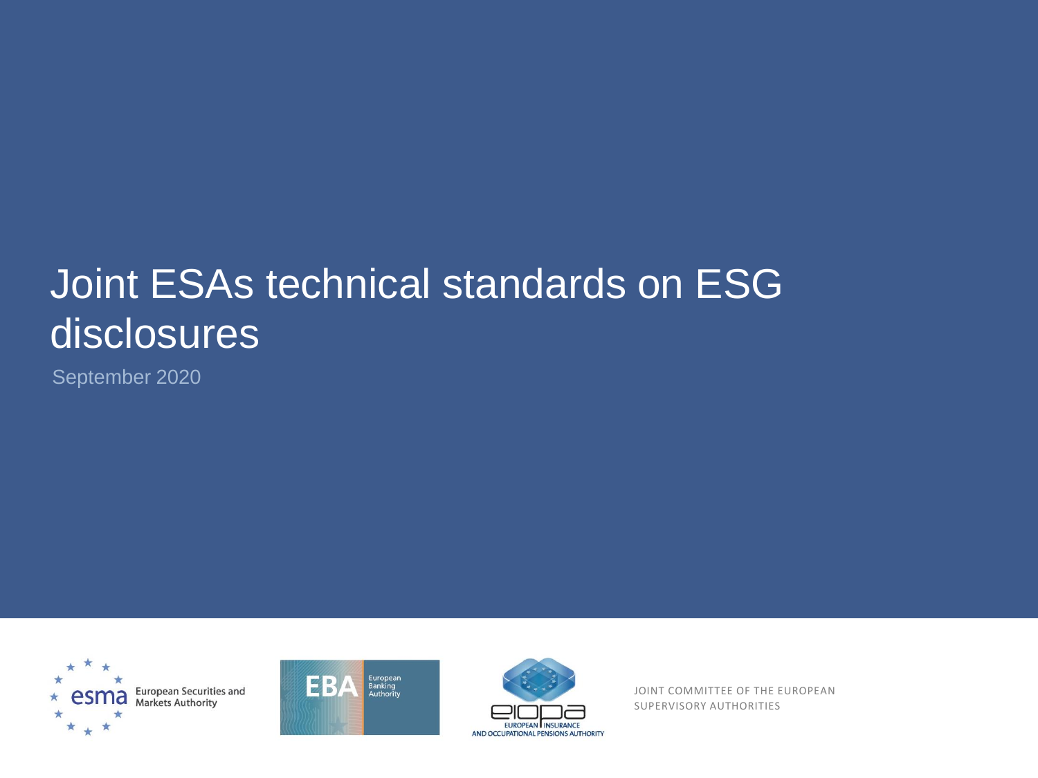# Joint ESAs technical standards on ESG disclosures

September 2020







JOINT COMMITTEE OF THE EUROPEAN SUPERVISORY AUTHORITIES SUPERVISORY AUTHORITIES JOINT COMMITTEE OF THE EUROPEAN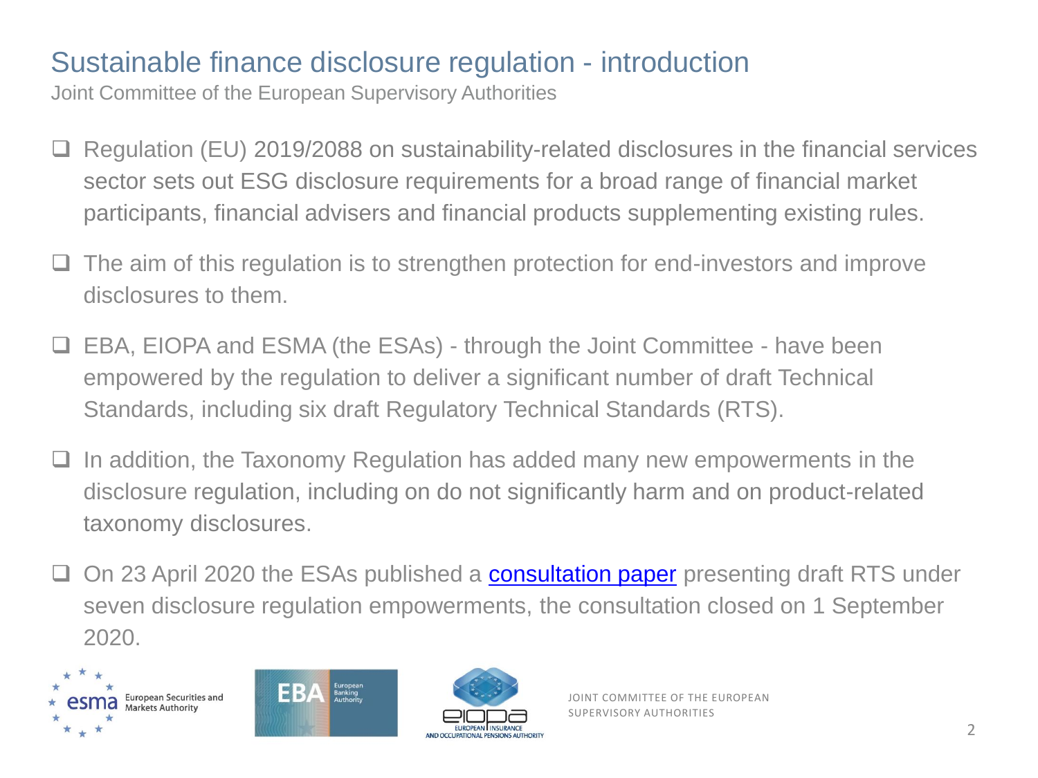## Sustainable finance disclosure regulation - introduction

- ❑ Regulation (EU) 2019/2088 on sustainability-related disclosures in the financial services sector sets out ESG disclosure requirements for a broad range of financial market participants, financial advisers and financial products supplementing existing rules.
- ❑ The aim of this regulation is to strengthen protection for end-investors and improve disclosures to them.
- ❑ EBA, EIOPA and ESMA (the ESAs) through the Joint Committee have been empowered by the regulation to deliver a significant number of draft Technical Standards, including six draft Regulatory Technical Standards (RTS).
- ❑ In addition, the Taxonomy Regulation has added many new empowerments in the disclosure regulation, including on do not significantly harm and on product-related taxonomy disclosures.
- □ On 23 April 2020 the ESAs published a **[consultation paper](https://www.esma.europa.eu/press-news/consultations/joint-esa-consultation-esg-disclosures)** presenting draft RTS under seven disclosure regulation empowerments, the consultation closed on 1 September 2020.





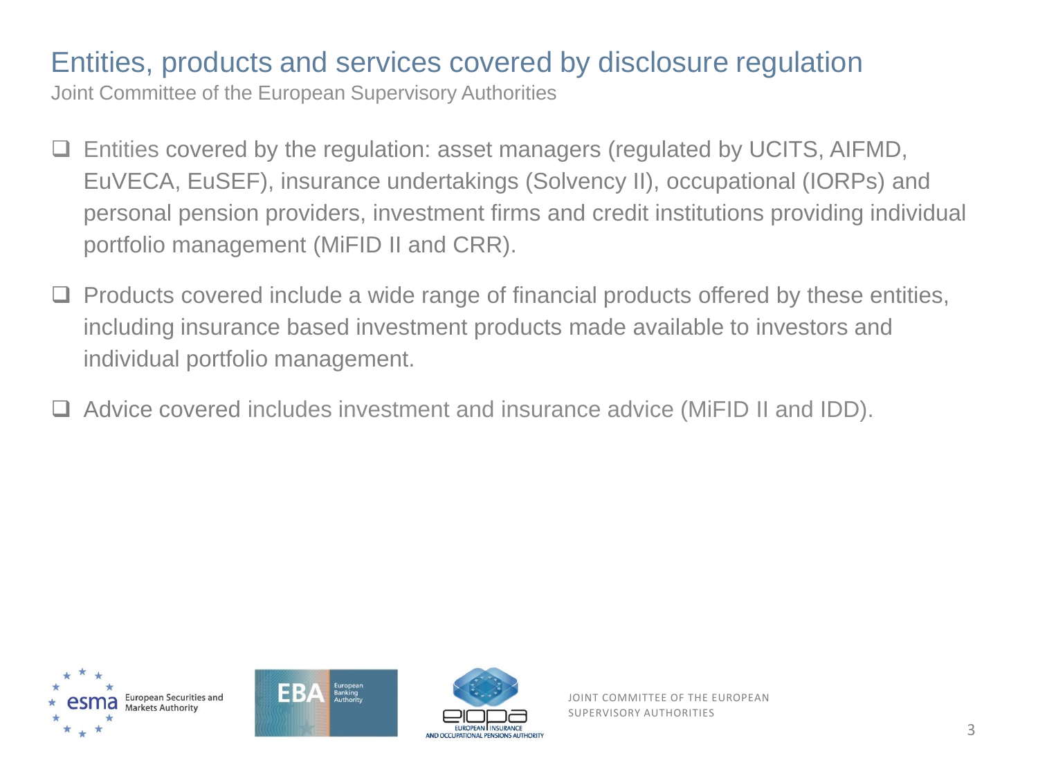#### Entities, products and services covered by disclosure regulation

Joint Committee of the European Supervisory Authorities

- ❑ Entities covered by the regulation: asset managers (regulated by UCITS, AIFMD, EuVECA, EuSEF), insurance undertakings (Solvency II), occupational (IORPs) and personal pension providers, investment firms and credit institutions providing individual portfolio management (MiFID II and CRR).
- ❑ Products covered include a wide range of financial products offered by these entities, including insurance based investment products made available to investors and individual portfolio management.
- ❑ Advice covered includes investment and insurance advice (MiFID II and IDD).





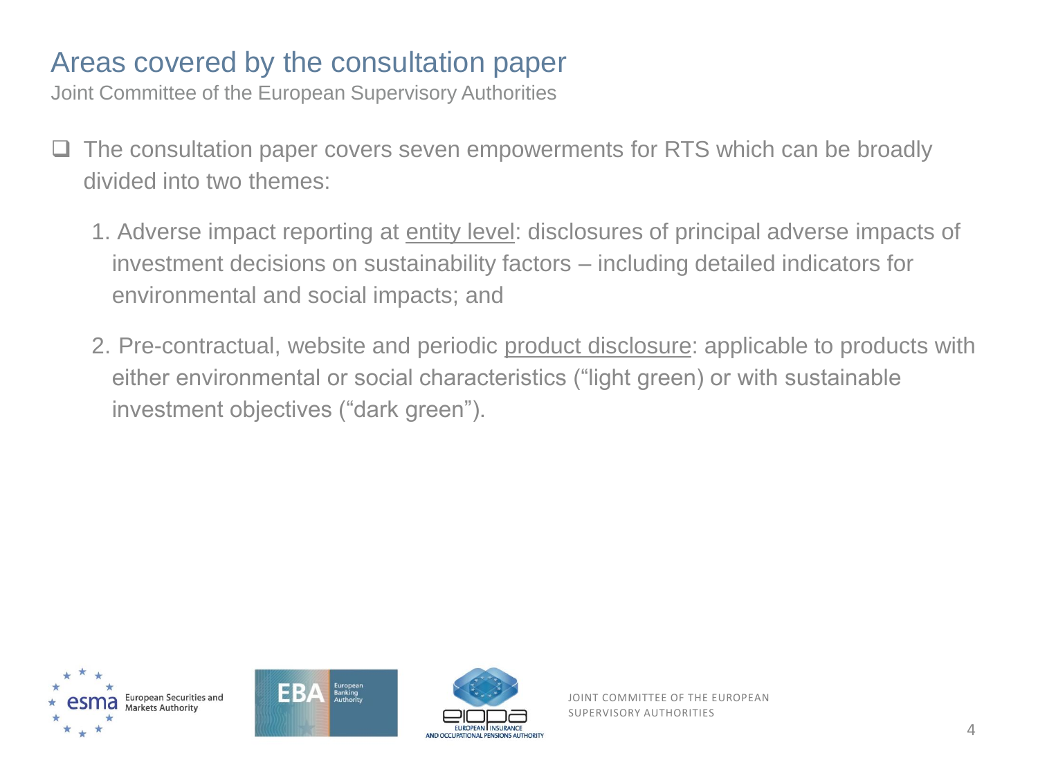#### Areas covered by the consultation paper

Joint Committee of the European Supervisory Authorities

- ❑ The consultation paper covers seven empowerments for RTS which can be broadly divided into two themes:
	- 1. Adverse impact reporting at entity level: disclosures of principal adverse impacts of investment decisions on sustainability factors – including detailed indicators for environmental and social impacts; and
	- 2. Pre-contractual, website and periodic product disclosure: applicable to products with either environmental or social characteristics ("light green) or with sustainable investment objectives ("dark green").





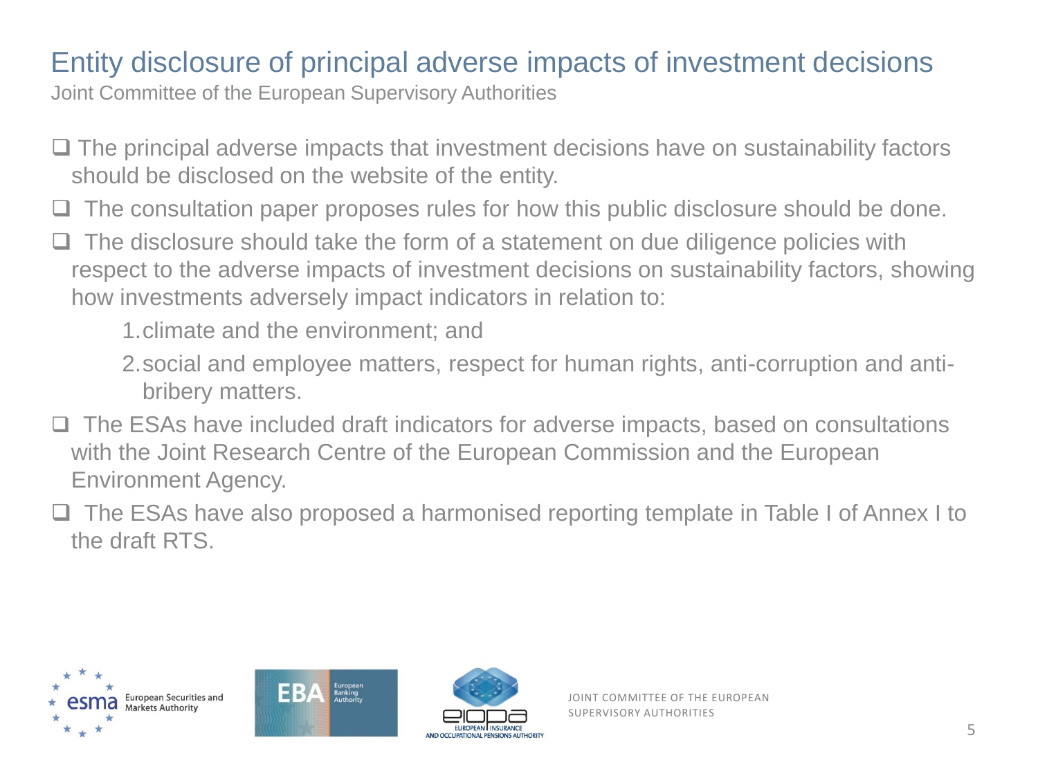#### Entity disclosure of principal adverse impacts of investment decisions

- ❑ The principal adverse impacts that investment decisions have on sustainability factors should be disclosed on the website of the entity.
- The consultation paper proposes rules for how this public disclosure should be done.
- The disclosure should take the form of a statement on due diligence policies with respect to the adverse impacts of investment decisions on sustainability factors, showing how investments adversely impact indicators in relation to:
	- 1.climate and the environment; and
	- 2.social and employee matters, respect for human rights, anti-corruption and antibribery matters.
- ❑ The ESAs have included draft indicators for adverse impacts, based on consultations with the Joint Research Centre of the European Commission and the European Environment Agency.
- □ The ESAs have also proposed a harmonised reporting template in Table I of Annex I to the draft RTS.





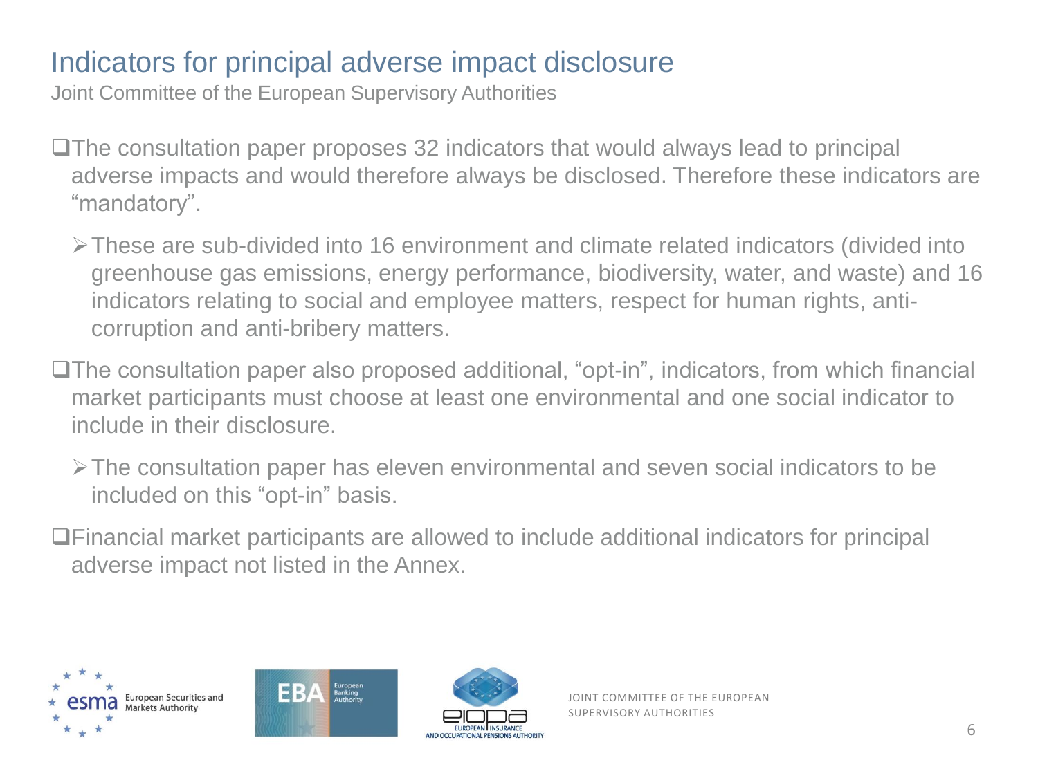## Indicators for principal adverse impact disclosure

Joint Committee of the European Supervisory Authorities

❑The consultation paper proposes 32 indicators that would always lead to principal adverse impacts and would therefore always be disclosed. Therefore these indicators are "mandatory".

➢These are sub-divided into 16 environment and climate related indicators (divided into greenhouse gas emissions, energy performance, biodiversity, water, and waste) and 16 indicators relating to social and employee matters, respect for human rights, anticorruption and anti-bribery matters.

❑The consultation paper also proposed additional, "opt-in", indicators, from which financial market participants must choose at least one environmental and one social indicator to include in their disclosure.

➢The consultation paper has eleven environmental and seven social indicators to be included on this "opt-in" basis.

❑Financial market participants are allowed to include additional indicators for principal adverse impact not listed in the Annex.





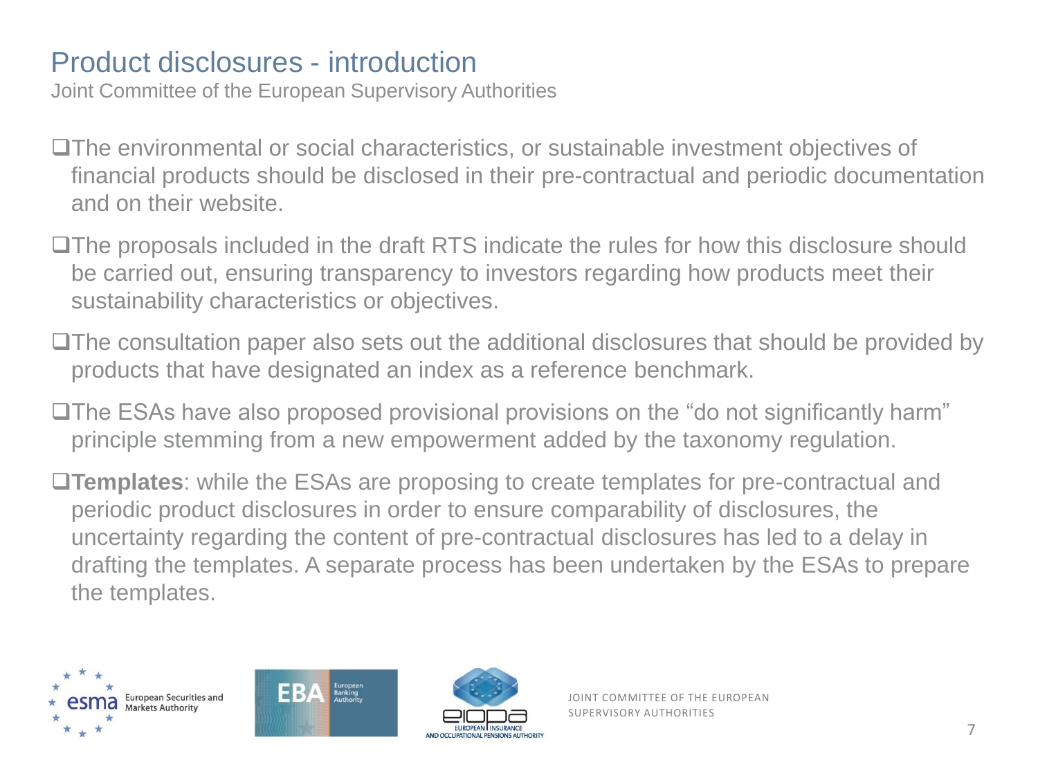#### Product disclosures - introduction

- ❑The environmental or social characteristics, or sustainable investment objectives of financial products should be disclosed in their pre-contractual and periodic documentation and on their website.
- ❑The proposals included in the draft RTS indicate the rules for how this disclosure should be carried out, ensuring transparency to investors regarding how products meet their sustainability characteristics or objectives.
- ❑The consultation paper also sets out the additional disclosures that should be provided by products that have designated an index as a reference benchmark.
- ❑The ESAs have also proposed provisional provisions on the "do not significantly harm" principle stemming from a new empowerment added by the taxonomy regulation.
- ❑**Templates**: while the ESAs are proposing to create templates for pre-contractual and periodic product disclosures in order to ensure comparability of disclosures, the uncertainty regarding the content of pre-contractual disclosures has led to a delay in drafting the templates. A separate process has been undertaken by the ESAs to prepare the templates.





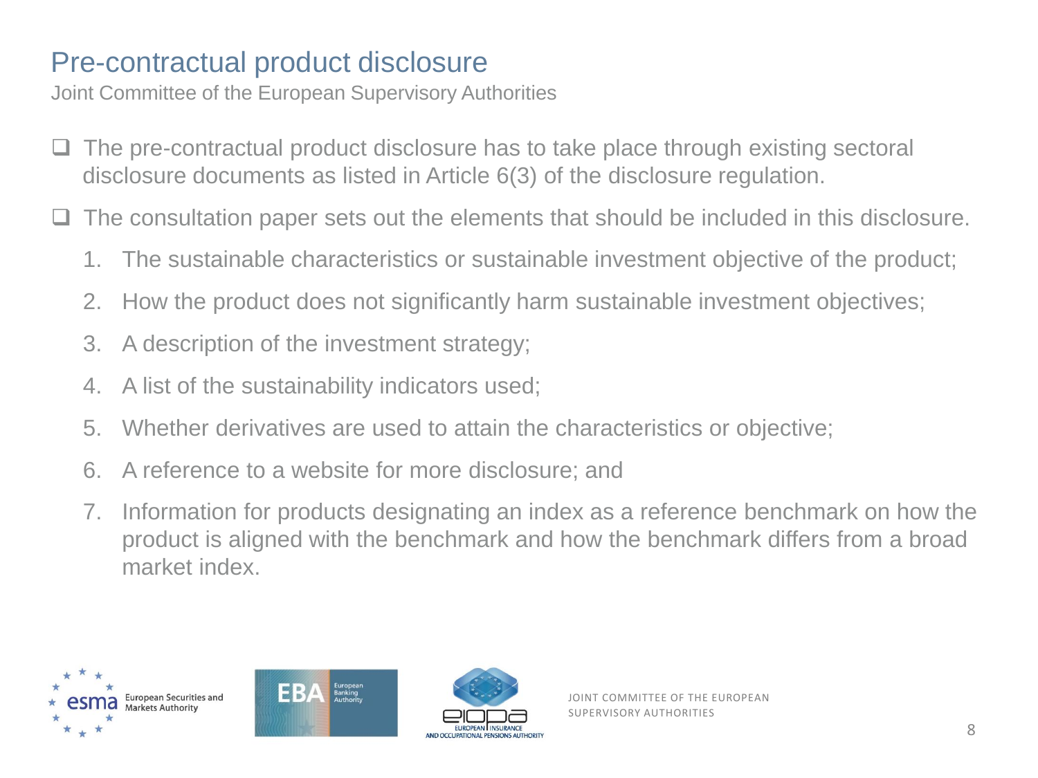#### Pre-contractual product disclosure

- The pre-contractual product disclosure has to take place through existing sectoral disclosure documents as listed in Article 6(3) of the disclosure regulation.
- The consultation paper sets out the elements that should be included in this disclosure.
	- 1. The sustainable characteristics or sustainable investment objective of the product;
	- 2. How the product does not significantly harm sustainable investment objectives;
	- 3. A description of the investment strategy;
	- 4. A list of the sustainability indicators used;
	- 5. Whether derivatives are used to attain the characteristics or objective;
	- 6. A reference to a website for more disclosure; and
	- 7. Information for products designating an index as a reference benchmark on how the product is aligned with the benchmark and how the benchmark differs from a broad market index.





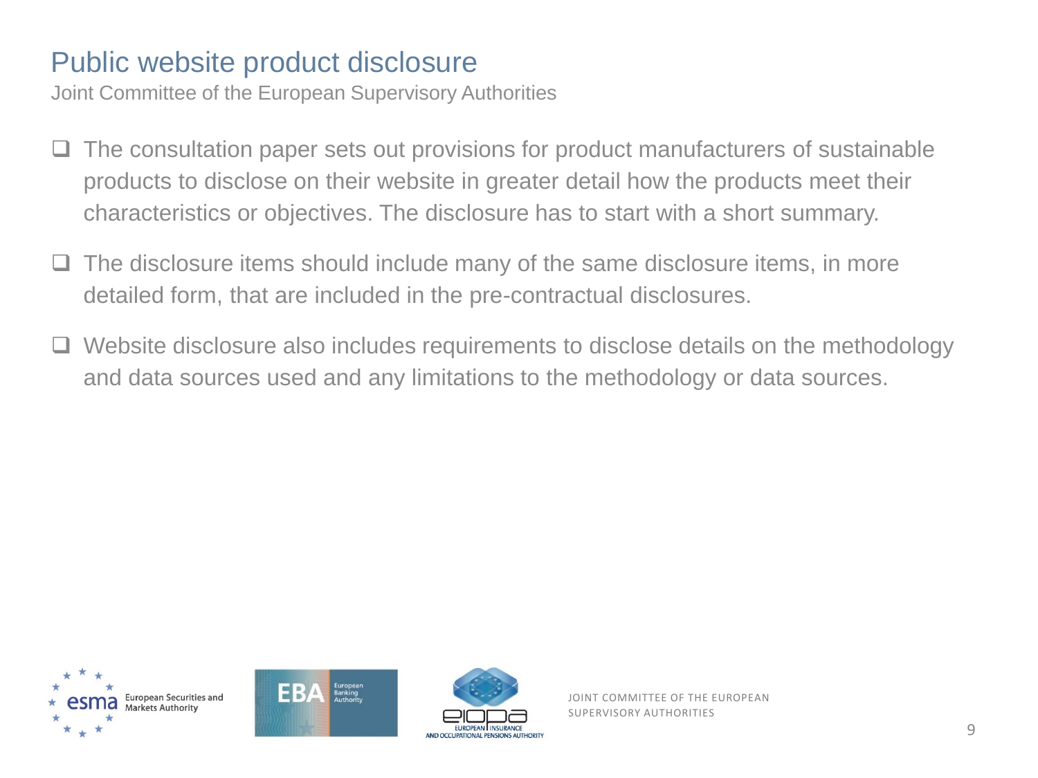#### Public website product disclosure

Joint Committee of the European Supervisory Authorities

- The consultation paper sets out provisions for product manufacturers of sustainable products to disclose on their website in greater detail how the products meet their characteristics or objectives. The disclosure has to start with a short summary.
- ❑ The disclosure items should include many of the same disclosure items, in more detailed form, that are included in the pre-contractual disclosures.
- Website disclosure also includes requirements to disclose details on the methodology and data sources used and any limitations to the methodology or data sources.





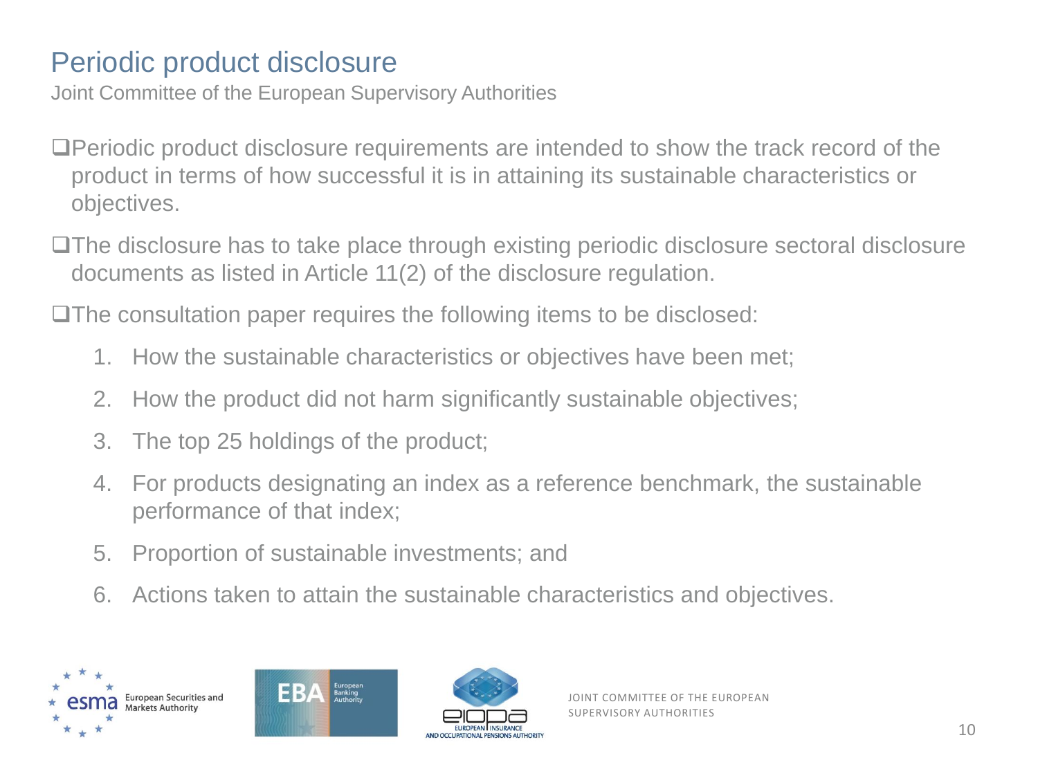## Periodic product disclosure

Joint Committee of the European Supervisory Authorities

- ❑Periodic product disclosure requirements are intended to show the track record of the product in terms of how successful it is in attaining its sustainable characteristics or objectives.
- ❑The disclosure has to take place through existing periodic disclosure sectoral disclosure documents as listed in Article 11(2) of the disclosure regulation.

❑The consultation paper requires the following items to be disclosed:

- 1. How the sustainable characteristics or objectives have been met;
- 2. How the product did not harm significantly sustainable objectives;
- 3. The top 25 holdings of the product;
- 4. For products designating an index as a reference benchmark, the sustainable performance of that index;
- 5. Proportion of sustainable investments; and
- 6. Actions taken to attain the sustainable characteristics and objectives.